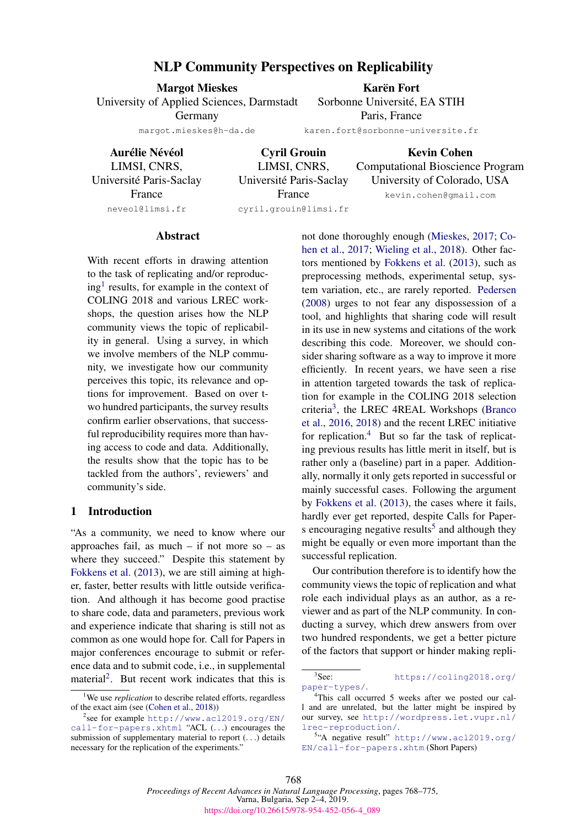# NLP Community Perspectives on Replicability

Margot Mieskes University of Applied Sciences, Darmstadt Germany margot.mieskes@h-da.de

Karën Fort Sorbonne Université, EA STIH Paris, France

karen.fort@sorbonne-universite.fr

Aurélie Névéol LIMSI, CNRS, Universite Paris-Saclay ´ France neveol@limsi.fr

Cyril Grouin LIMSI, CNRS, Universite Paris-Saclay ´ France cyril.grouin@limsi.fr

Kevin Cohen Computational Bioscience Program University of Colorado, USA kevin.cohen@gmail.com

Abstract

With recent efforts in drawing attention to the task of replicating and/or reproduc-ing<sup>[1](#page-0-0)</sup> results, for example in the context of COLING 2018 and various LREC workshops, the question arises how the NLP community views the topic of replicability in general. Using a survey, in which we involve members of the NLP community, we investigate how our community perceives this topic, its relevance and options for improvement. Based on over two hundred participants, the survey results confirm earlier observations, that successful reproducibility requires more than having access to code and data. Additionally, the results show that the topic has to be tackled from the authors', reviewers' and community's side.

## 1 Introduction

"As a community, we need to know where our approaches fail, as much – if not more so – as where they succeed." Despite this statement by [Fokkens et al.](#page-7-0) [\(2013\)](#page-7-0), we are still aiming at higher, faster, better results with little outside verification. And although it has become good practise to share code, data and parameters, previous work and experience indicate that sharing is still not as common as one would hope for. Call for Papers in major conferences encourage to submit or reference data and to submit code, i.e., in supplemental material<sup>[2](#page-0-1)</sup>. But recent work indicates that this is

not done thoroughly enough [\(Mieskes,](#page-7-1) [2017;](#page-7-1) [Co](#page-6-1)[hen et al.,](#page-6-1) [2017;](#page-6-1) [Wieling et al.,](#page-7-2) [2018\)](#page-7-2). Other factors mentioned by [Fokkens et al.](#page-7-0) [\(2013\)](#page-7-0), such as preprocessing methods, experimental setup, system variation, etc., are rarely reported. [Pedersen](#page-7-3) [\(2008\)](#page-7-3) urges to not fear any dispossession of a tool, and highlights that sharing code will result in its use in new systems and citations of the work describing this code. Moreover, we should consider sharing software as a way to improve it more efficiently. In recent years, we have seen a rise in attention targeted towards the task of replication for example in the COLING 2018 selection criteria[3](#page-0-2) , the LREC 4REAL Workshops [\(Branco](#page-6-2) [et al.,](#page-6-2) [2016,](#page-6-2) [2018\)](#page-6-3) and the recent LREC initiative for replication. $4$  But so far the task of replicating previous results has little merit in itself, but is rather only a (baseline) part in a paper. Additionally, normally it only gets reported in successful or mainly successful cases. Following the argument by [Fokkens et al.](#page-7-0) [\(2013\)](#page-7-0), the cases where it fails, hardly ever get reported, despite Calls for Paper-s encouraging negative results<sup>[5](#page-0-4)</sup> and although they might be equally or even more important than the successful replication.

Our contribution therefore is to identify how the community views the topic of replication and what role each individual plays as an author, as a reviewer and as part of the NLP community. In conducting a survey, which drew answers from over two hundred respondents, we get a better picture of the factors that support or hinder making repli-

<span id="page-0-0"></span><sup>&</sup>lt;sup>1</sup>We use *replication* to describe related efforts, regardless of the exact aim (see [\(Cohen et al.,](#page-6-0) [2018\)](#page-6-0))

<span id="page-0-1"></span><sup>2</sup> see for example [http://www.acl2019.org/EN/](http://www.acl2019.org/EN/call-for-papers.xhtml) [call-for-papers.xhtml](http://www.acl2019.org/EN/call-for-papers.xhtml) "ACL (...) encourages the submission of supplementary material to report  $(\ldots)$  details necessary for the replication of the experiments."

<span id="page-0-2"></span> $3$ See: [https://coling2018.org/](https://coling2018.org/paper-types/) [paper-types/](https://coling2018.org/paper-types/).

<span id="page-0-3"></span><sup>&</sup>lt;sup>4</sup>This call occurred 5 weeks after we posted our call and are unrelated, but the latter might be inspired by our survey, see [http://wordpress.let.vupr.nl/](http://wordpress.let.vupr.nl/lrec-reproduction/) [lrec-reproduction/](http://wordpress.let.vupr.nl/lrec-reproduction/).

<span id="page-0-4"></span><sup>5</sup> "A negative result" [http://www.acl2019.org/](http://www.acl2019.org/EN/call-for-papers.xhtm) [EN/call-for-papers.xhtm](http://www.acl2019.org/EN/call-for-papers.xhtm) (Short Papers)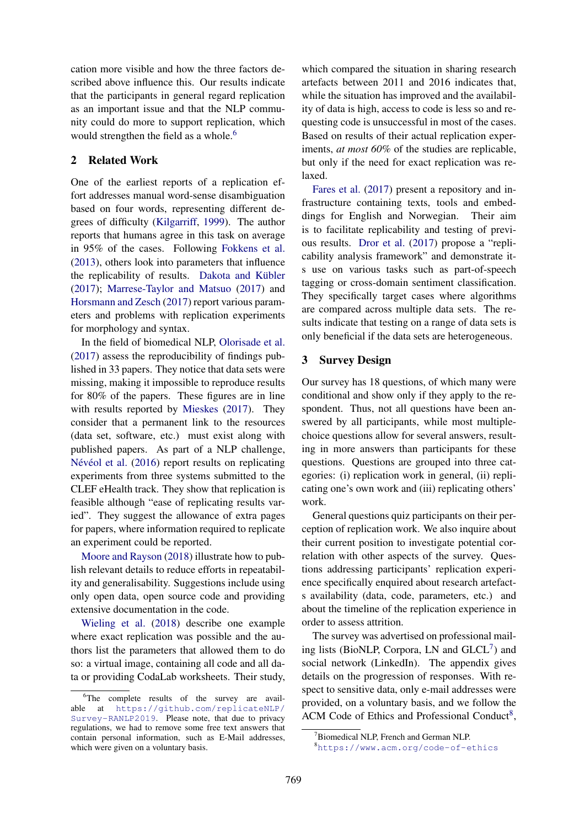cation more visible and how the three factors described above influence this. Our results indicate that the participants in general regard replication as an important issue and that the NLP community could do more to support replication, which would strengthen the field as a whole.<sup>[6](#page-1-0)</sup>

## 2 Related Work

One of the earliest reports of a replication effort addresses manual word-sense disambiguation based on four words, representing different degrees of difficulty [\(Kilgarriff,](#page-7-4) [1999\)](#page-7-4). The author reports that humans agree in this task on average in 95% of the cases. Following [Fokkens et al.](#page-7-0) [\(2013\)](#page-7-0), others look into parameters that influence the replicability of results. Dakota and Kübler [\(2017\)](#page-6-4); [Marrese-Taylor and Matsuo](#page-7-5) [\(2017\)](#page-7-5) and [Horsmann and Zesch](#page-7-6) [\(2017\)](#page-7-6) report various parameters and problems with replication experiments for morphology and syntax.

In the field of biomedical NLP, [Olorisade et al.](#page-7-7) [\(2017\)](#page-7-7) assess the reproducibility of findings published in 33 papers. They notice that data sets were missing, making it impossible to reproduce results for 80% of the papers. These figures are in line with results reported by [Mieskes](#page-7-1) [\(2017\)](#page-7-1). They consider that a permanent link to the resources (data set, software, etc.) must exist along with published papers. As part of a NLP challenge, Névéol et al. [\(2016\)](#page-7-8) report results on replicating experiments from three systems submitted to the CLEF eHealth track. They show that replication is feasible although "ease of replicating results varied". They suggest the allowance of extra pages for papers, where information required to replicate an experiment could be reported.

[Moore and Rayson](#page-7-9) [\(2018\)](#page-7-9) illustrate how to publish relevant details to reduce efforts in repeatability and generalisability. Suggestions include using only open data, open source code and providing extensive documentation in the code.

[Wieling et al.](#page-7-2) [\(2018\)](#page-7-2) describe one example where exact replication was possible and the authors list the parameters that allowed them to do so: a virtual image, containing all code and all data or providing CodaLab worksheets. Their study,

which compared the situation in sharing research artefacts between 2011 and 2016 indicates that, while the situation has improved and the availability of data is high, access to code is less so and requesting code is unsuccessful in most of the cases. Based on results of their actual replication experiments, *at most 60%* of the studies are replicable, but only if the need for exact replication was relaxed.

[Fares et al.](#page-6-5) [\(2017\)](#page-6-5) present a repository and infrastructure containing texts, tools and embeddings for English and Norwegian. Their aim is to facilitate replicability and testing of previous results. [Dror et al.](#page-6-6) [\(2017\)](#page-6-6) propose a "replicability analysis framework" and demonstrate its use on various tasks such as part-of-speech tagging or cross-domain sentiment classification. They specifically target cases where algorithms are compared across multiple data sets. The results indicate that testing on a range of data sets is only beneficial if the data sets are heterogeneous.

## 3 Survey Design

Our survey has 18 questions, of which many were conditional and show only if they apply to the respondent. Thus, not all questions have been answered by all participants, while most multiplechoice questions allow for several answers, resulting in more answers than participants for these questions. Questions are grouped into three categories: (i) replication work in general, (ii) replicating one's own work and (iii) replicating others' work.

General questions quiz participants on their perception of replication work. We also inquire about their current position to investigate potential correlation with other aspects of the survey. Questions addressing participants' replication experience specifically enquired about research artefacts availability (data, code, parameters, etc.) and about the timeline of the replication experience in order to assess attrition.

The survey was advertised on professional mailing lists (BioNLP, Corpora, LN and  $GLCL^7$  $GLCL^7$ ) and social network (LinkedIn). The appendix gives details on the progression of responses. With respect to sensitive data, only e-mail addresses were provided, on a voluntary basis, and we follow the ACM Code of Ethics and Professional Conduct<sup>[8](#page-1-2)</sup>,

<span id="page-1-0"></span> ${}^{6}$ The complete results of the survey are available at [https://github.com/replicateNLP/](https://github.com/replicateNLP/Survey-RANLP2019) [Survey-RANLP2019](https://github.com/replicateNLP/Survey-RANLP2019). Please note, that due to privacy regulations, we had to remove some free text answers that contain personal information, such as E-Mail addresses, which were given on a voluntary basis.

<span id="page-1-1"></span><sup>&</sup>lt;sup>7</sup>Biomedical NLP, French and German NLP.

<span id="page-1-2"></span><sup>8</sup><https://www.acm.org/code-of-ethics>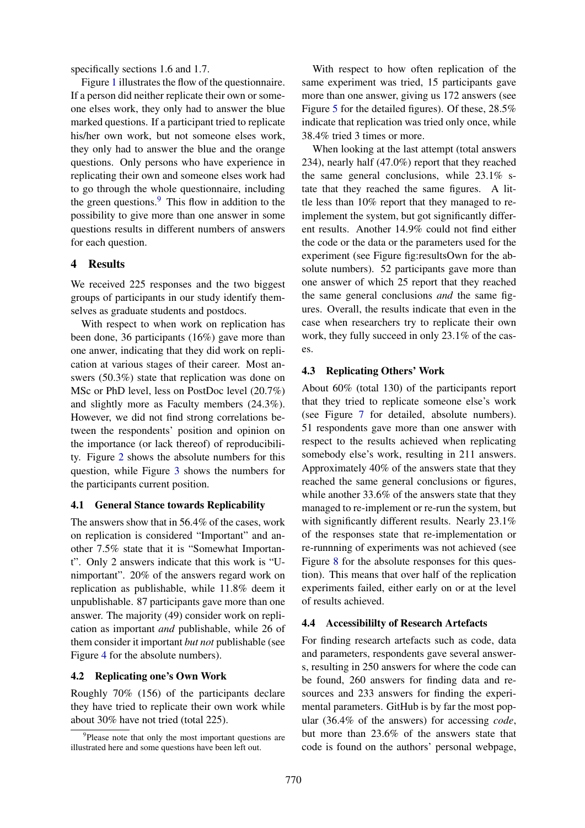specifically sections 1.6 and 1.7.

Figure [1](#page-3-0) illustrates the flow of the questionnaire. If a person did neither replicate their own or someone elses work, they only had to answer the blue marked questions. If a participant tried to replicate his/her own work, but not someone elses work, they only had to answer the blue and the orange questions. Only persons who have experience in replicating their own and someone elses work had to go through the whole questionnaire, including the green questions.<sup>[9](#page-2-0)</sup> This flow in addition to the possibility to give more than one answer in some questions results in different numbers of answers for each question.

## 4 Results

We received 225 responses and the two biggest groups of participants in our study identify themselves as graduate students and postdocs.

With respect to when work on replication has been done, 36 participants (16%) gave more than one anwer, indicating that they did work on replication at various stages of their career. Most answers (50.3%) state that replication was done on MSc or PhD level, less on PostDoc level (20.7%) and slightly more as Faculty members (24.3%). However, we did not find strong correlations between the respondents' position and opinion on the importance (or lack thereof) of reproducibility. Figure [2](#page-3-1) shows the absolute numbers for this question, while Figure [3](#page-3-2) shows the numbers for the participants current position.

### 4.1 General Stance towards Replicability

The answers show that in 56.4% of the cases, work on replication is considered "Important" and another 7.5% state that it is "Somewhat Important". Only 2 answers indicate that this work is "Unimportant". 20% of the answers regard work on replication as publishable, while 11.8% deem it unpublishable. 87 participants gave more than one answer. The majority (49) consider work on replication as important *and* publishable, while 26 of them consider it important *but not* publishable (see Figure [4](#page-3-3) for the absolute numbers).

### 4.2 Replicating one's Own Work

Roughly 70% (156) of the participants declare they have tried to replicate their own work while about 30% have not tried (total 225).

With respect to how often replication of the same experiment was tried, 15 participants gave more than one answer, giving us 172 answers (see Figure [5](#page-3-4) for the detailed figures). Of these, 28.5% indicate that replication was tried only once, while 38.4% tried 3 times or more.

When looking at the last attempt (total answers 234), nearly half (47.0%) report that they reached the same general conclusions, while 23.1% state that they reached the same figures. A little less than 10% report that they managed to reimplement the system, but got significantly different results. Another 14.9% could not find either the code or the data or the parameters used for the experiment (see Figure fig:resultsOwn for the absolute numbers). 52 participants gave more than one answer of which 25 report that they reached the same general conclusions *and* the same figures. Overall, the results indicate that even in the case when researchers try to replicate their own work, they fully succeed in only 23.1% of the cases.

#### 4.3 Replicating Others' Work

About 60% (total 130) of the participants report that they tried to replicate someone else's work (see Figure [7](#page-4-0) for detailed, absolute numbers). 51 respondents gave more than one answer with respect to the results achieved when replicating somebody else's work, resulting in 211 answers. Approximately 40% of the answers state that they reached the same general conclusions or figures, while another 33.6% of the answers state that they managed to re-implement or re-run the system, but with significantly different results. Nearly 23.1% of the responses state that re-implementation or re-runnning of experiments was not achieved (see Figure [8](#page-4-1) for the absolute responses for this question). This means that over half of the replication experiments failed, either early on or at the level of results achieved.

#### 4.4 Accessibililty of Research Artefacts

For finding research artefacts such as code, data and parameters, respondents gave several answers, resulting in 250 answers for where the code can be found, 260 answers for finding data and resources and 233 answers for finding the experimental parameters. GitHub is by far the most popular (36.4% of the answers) for accessing *code*, but more than 23.6% of the answers state that code is found on the authors' personal webpage,

<span id="page-2-0"></span><sup>&</sup>lt;sup>9</sup>Please note that only the most important questions are illustrated here and some questions have been left out.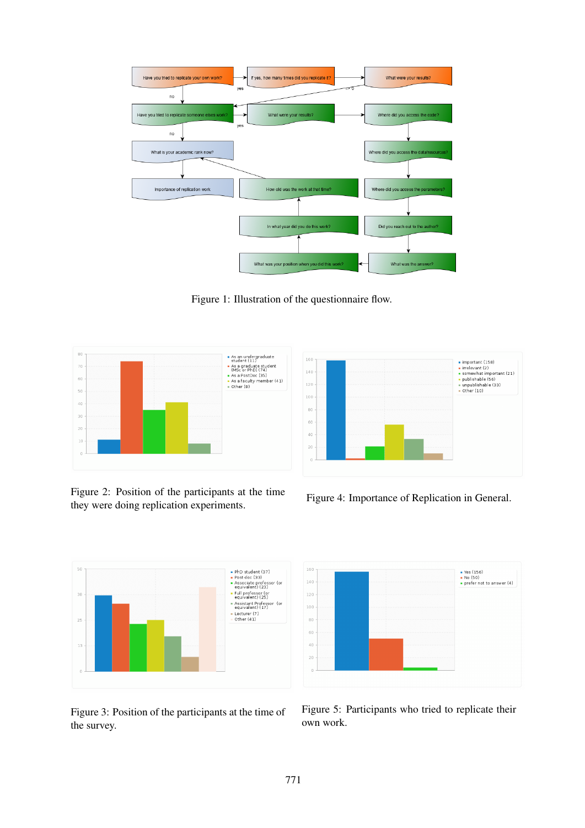

<span id="page-3-0"></span>Figure 1: Illustration of the questionnaire flow.



<span id="page-3-1"></span>Figure 2: Position of the participants at the time they were doing replication experiments.



<span id="page-3-3"></span>Figure 4: Importance of Replication in General.



<span id="page-3-2"></span>Figure 3: Position of the participants at the time of the survey.



<span id="page-3-4"></span>Figure 5: Participants who tried to replicate their own work.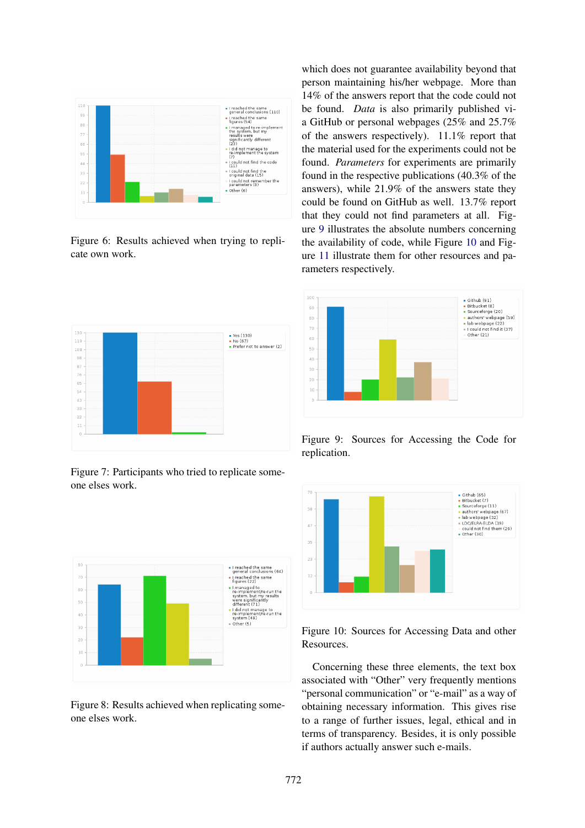

Figure 6: Results achieved when trying to replicate own work.



<span id="page-4-0"></span>Figure 7: Participants who tried to replicate someone elses work.



<span id="page-4-1"></span>Figure 8: Results achieved when replicating someone elses work.

which does not guarantee availability beyond that person maintaining his/her webpage. More than 14% of the answers report that the code could not be found. *Data* is also primarily published via GitHub or personal webpages (25% and 25.7% of the answers respectively). 11.1% report that the material used for the experiments could not be found. *Parameters* for experiments are primarily found in the respective publications (40.3% of the answers), while 21.9% of the answers state they could be found on GitHub as well. 13.7% report that they could not find parameters at all. Figure [9](#page-4-2) illustrates the absolute numbers concerning the availability of code, while Figure [10](#page-4-3) and Figure [11](#page-5-0) illustrate them for other resources and parameters respectively.



<span id="page-4-2"></span>Figure 9: Sources for Accessing the Code for replication.



<span id="page-4-3"></span>Figure 10: Sources for Accessing Data and other Resources.

Concerning these three elements, the text box associated with "Other" very frequently mentions "personal communication" or "e-mail" as a way of obtaining necessary information. This gives rise to a range of further issues, legal, ethical and in terms of transparency. Besides, it is only possible if authors actually answer such e-mails.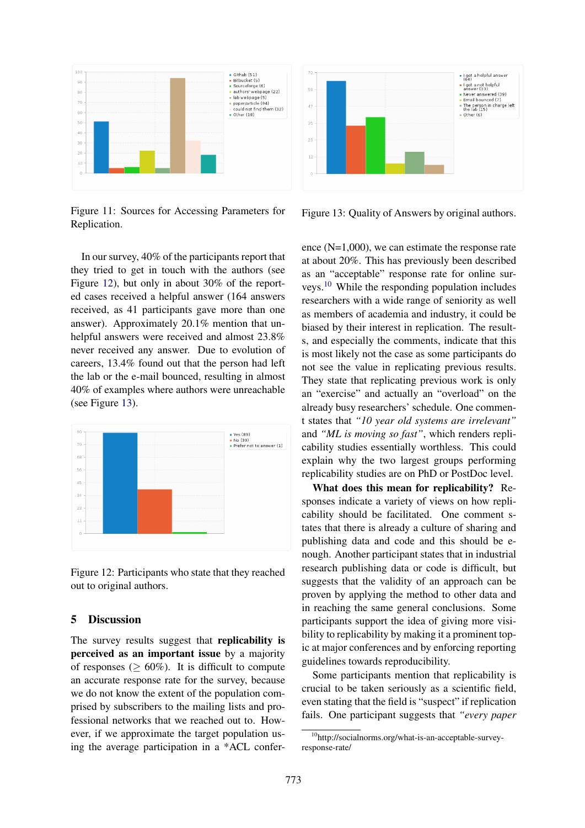

<span id="page-5-0"></span>Figure 11: Sources for Accessing Parameters for Replication.

In our survey, 40% of the participants report that they tried to get in touch with the authors (see Figure [12\)](#page-5-1), but only in about 30% of the reported cases received a helpful answer (164 answers received, as 41 participants gave more than one answer). Approximately 20.1% mention that unhelpful answers were received and almost 23.8% never received any answer. Due to evolution of careers, 13.4% found out that the person had left the lab or the e-mail bounced, resulting in almost 40% of examples where authors were unreachable (see Figure [13\)](#page-5-2).



<span id="page-5-1"></span>Figure 12: Participants who state that they reached out to original authors.

# 5 Discussion

The survey results suggest that replicability is perceived as an important issue by a majority of responses ( $> 60\%$ ). It is difficult to compute an accurate response rate for the survey, because we do not know the extent of the population comprised by subscribers to the mailing lists and professional networks that we reached out to. However, if we approximate the target population using the average participation in a \*ACL confer-



<span id="page-5-2"></span>Figure 13: Quality of Answers by original authors.

ence (N=1,000), we can estimate the response rate at about 20%. This has previously been described as an "acceptable" response rate for online surveys.[10](#page-5-3) While the responding population includes researchers with a wide range of seniority as well as members of academia and industry, it could be biased by their interest in replication. The results, and especially the comments, indicate that this is most likely not the case as some participants do not see the value in replicating previous results. They state that replicating previous work is only an "exercise" and actually an "overload" on the already busy researchers' schedule. One comment states that *"10 year old systems are irrelevant"* and *"ML is moving so fast"*, which renders replicability studies essentially worthless. This could explain why the two largest groups performing replicability studies are on PhD or PostDoc level.

What does this mean for replicability? Responses indicate a variety of views on how replicability should be facilitated. One comment states that there is already a culture of sharing and publishing data and code and this should be enough. Another participant states that in industrial research publishing data or code is difficult, but suggests that the validity of an approach can be proven by applying the method to other data and in reaching the same general conclusions. Some participants support the idea of giving more visibility to replicability by making it a prominent topic at major conferences and by enforcing reporting guidelines towards reproducibility.

Some participants mention that replicability is crucial to be taken seriously as a scientific field, even stating that the field is "suspect" if replication fails. One participant suggests that *"every paper*

<span id="page-5-3"></span><sup>10</sup>http://socialnorms.org/what-is-an-acceptable-surveyresponse-rate/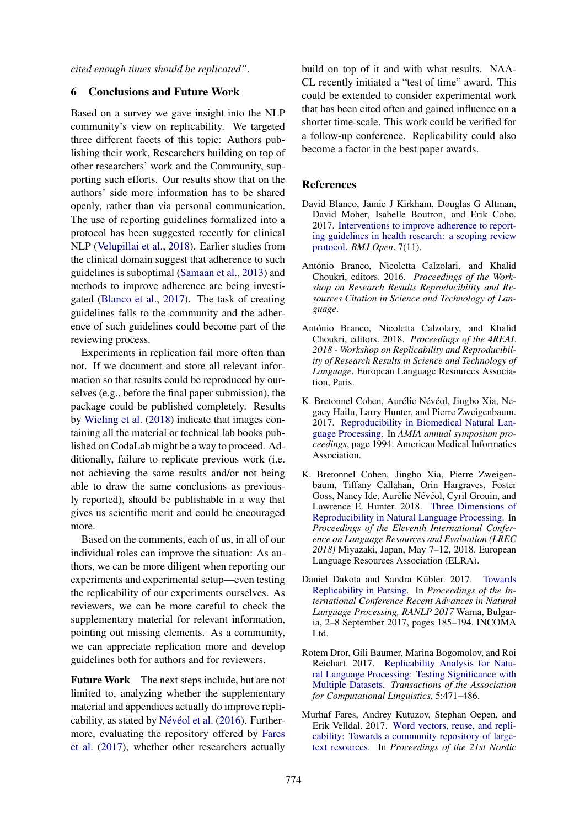*cited enough times should be replicated"*.

## 6 Conclusions and Future Work

Based on a survey we gave insight into the NLP community's view on replicability. We targeted three different facets of this topic: Authors publishing their work, Researchers building on top of other researchers' work and the Community, supporting such efforts. Our results show that on the authors' side more information has to be shared openly, rather than via personal communication. The use of reporting guidelines formalized into a protocol has been suggested recently for clinical NLP [\(Velupillai et al.,](#page-7-10) [2018\)](#page-7-10). Earlier studies from the clinical domain suggest that adherence to such guidelines is suboptimal [\(Samaan et al.,](#page-7-11) [2013\)](#page-7-11) and methods to improve adherence are being investigated [\(Blanco et al.,](#page-6-7) [2017\)](#page-6-7). The task of creating guidelines falls to the community and the adherence of such guidelines could become part of the reviewing process.

Experiments in replication fail more often than not. If we document and store all relevant information so that results could be reproduced by ourselves (e.g., before the final paper submission), the package could be published completely. Results by [Wieling et al.](#page-7-2) [\(2018\)](#page-7-2) indicate that images containing all the material or technical lab books published on CodaLab might be a way to proceed. Additionally, failure to replicate previous work (i.e. not achieving the same results and/or not being able to draw the same conclusions as previously reported), should be publishable in a way that gives us scientific merit and could be encouraged more.

Based on the comments, each of us, in all of our individual roles can improve the situation: As authors, we can be more diligent when reporting our experiments and experimental setup—even testing the replicability of our experiments ourselves. As reviewers, we can be more careful to check the supplementary material for relevant information, pointing out missing elements. As a community, we can appreciate replication more and develop guidelines both for authors and for reviewers.

Future Work The next steps include, but are not limited to, analyzing whether the supplementary material and appendices actually do improve repli-cability, as stated by Névéol et al. [\(2016\)](#page-7-8). Furthermore, evaluating the repository offered by [Fares](#page-6-5) [et al.](#page-6-5) [\(2017\)](#page-6-5), whether other researchers actually

build on top of it and with what results. NAA-CL recently initiated a "test of time" award. This could be extended to consider experimental work that has been cited often and gained influence on a shorter time-scale. This work could be verified for a follow-up conference. Replicability could also become a factor in the best paper awards.

### References

- <span id="page-6-7"></span>David Blanco, Jamie J Kirkham, Douglas G Altman, David Moher, Isabelle Boutron, and Erik Cobo. 2017. [Interventions to improve adherence to report](https://doi.org/10.1136/bmjopen-2017-017551)[ing guidelines in health research: a scoping review](https://doi.org/10.1136/bmjopen-2017-017551) [protocol.](https://doi.org/10.1136/bmjopen-2017-017551) *BMJ Open*, 7(11).
- <span id="page-6-2"></span>António Branco, Nicoletta Calzolari, and Khalid Choukri, editors. 2016. *Proceedings of the Workshop on Research Results Reproducibility and Resources Citation in Science and Technology of Language*.
- <span id="page-6-3"></span>António Branco, Nicoletta Calzolary, and Khalid Choukri, editors. 2018. *Proceedings of the 4REAL 2018 - Workshop on Replicability and Reproducibility of Research Results in Science and Technology of Language*. European Language Resources Association, Paris.
- <span id="page-6-1"></span>K. Bretonnel Cohen, Aurélie Névéol, Jingbo Xia, Negacy Hailu, Larry Hunter, and Pierre Zweigenbaum. 2017. [Reproducibility in Biomedical Natural Lan](https://hal.archives-ouvertes.fr/hal-01847326)[guage Processing.](https://hal.archives-ouvertes.fr/hal-01847326) In *AMIA annual symposium proceedings*, page 1994. American Medical Informatics Association.
- <span id="page-6-0"></span>K. Bretonnel Cohen, Jingbo Xia, Pierre Zweigenbaum, Tiffany Callahan, Orin Hargraves, Foster Goss, Nancy Ide, Aurélie Névéol, Cyril Grouin, and Lawrence E. Hunter. 2018. [Three Dimensions of](https://www.ncbi.nlm.nih.gov/pmc/articles/PMC5998676/) [Reproducibility in Natural Language Processing.](https://www.ncbi.nlm.nih.gov/pmc/articles/PMC5998676/) In *Proceedings of the Eleventh International Conference on Language Resources and Evaluation (LREC 2018)* Miyazaki, Japan, May 7–12, 2018. European Language Resources Association (ELRA).
- <span id="page-6-4"></span>Daniel Dakota and Sandra Kübler. 2017. [Towards](https://doi.org/10.26615/978-954-452-049-6_026) [Replicability in Parsing.](https://doi.org/10.26615/978-954-452-049-6_026) In *Proceedings of the International Conference Recent Advances in Natural Language Processing, RANLP 2017* Warna, Bulgaria, 2–8 September 2017, pages 185–194. INCOMA Ltd.
- <span id="page-6-6"></span>Rotem Dror, Gili Baumer, Marina Bogomolov, and Roi Reichart. 2017. [Replicability Analysis for Natu](http://aclweb.org/anthology/Q17-1033)[ral Language Processing: Testing Significance with](http://aclweb.org/anthology/Q17-1033) [Multiple Datasets.](http://aclweb.org/anthology/Q17-1033) *Transactions of the Association for Computational Linguistics*, 5:471–486.
- <span id="page-6-5"></span>Murhaf Fares, Andrey Kutuzov, Stephan Oepen, and Erik Velldal. 2017. [Word vectors, reuse, and repli](http://aclweb.org/anthology/W17-0237)[cability: Towards a community repository of large](http://aclweb.org/anthology/W17-0237)[text resources.](http://aclweb.org/anthology/W17-0237) In *Proceedings of the 21st Nordic*